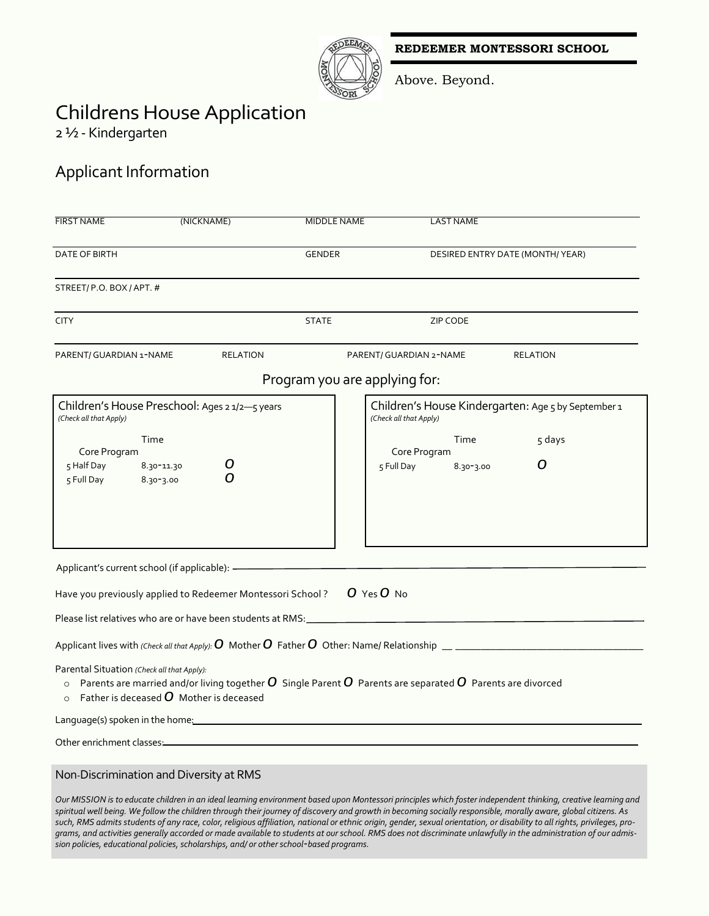**REDEEMER MONTESSORI SCHOOL**



Above. Beyond.

## Childrens House Application

2 ½ - Kindergarten

## Applicant Information

| <b>FIRST NAME</b>                                     | (NICKNAME)                                                  | <b>MIDDLE NAME</b>            | <b>LAST NAME</b>                                                                                                                                                                                                                                                                                                                 |
|-------------------------------------------------------|-------------------------------------------------------------|-------------------------------|----------------------------------------------------------------------------------------------------------------------------------------------------------------------------------------------------------------------------------------------------------------------------------------------------------------------------------|
| DATE OF BIRTH                                         |                                                             | <b>GENDER</b>                 | DESIRED ENTRY DATE (MONTH/YEAR)                                                                                                                                                                                                                                                                                                  |
| STREET/P.O. BOX/APT. #                                |                                                             |                               |                                                                                                                                                                                                                                                                                                                                  |
| <b>CITY</b>                                           |                                                             | <b>STATE</b>                  | <b>ZIP CODE</b>                                                                                                                                                                                                                                                                                                                  |
| PARENT/ GUARDIAN 1-NAME                               | <b>RELATION</b>                                             |                               | <b>RELATION</b><br>PARENT/ GUARDIAN 2-NAME                                                                                                                                                                                                                                                                                       |
|                                                       |                                                             | Program you are applying for: |                                                                                                                                                                                                                                                                                                                                  |
| (Check all that Apply)                                | Children's House Preschool: Ages 2 1/2-5 years              |                               | Children's House Kindergarten: Age 5 by September 1<br>(Check all that Apply)                                                                                                                                                                                                                                                    |
| Core Program<br>5 Half Day<br>5 Full Day              | Time<br>8.30-11.30<br>$8.30 - 3.00$                         |                               | Time<br>5 days<br>Core Program<br>O<br>8.30-3.00<br>5 Full Day                                                                                                                                                                                                                                                                   |
| Applicant's current school (if applicable): -         |                                                             |                               |                                                                                                                                                                                                                                                                                                                                  |
|                                                       | Have you previously applied to Redeemer Montessori School?  |                               | O Yes O No                                                                                                                                                                                                                                                                                                                       |
|                                                       | Please list relatives who are or have been students at RMS: |                               | <u> 1989 - Johann Barbara, martxa alemaniar a</u>                                                                                                                                                                                                                                                                                |
|                                                       |                                                             |                               | Applicant lives with (Check all that Apply): $O$ Mother $O$ Father $O$ Other: Name/ Relationship $\_$                                                                                                                                                                                                                            |
| Parental Situation (Check all that Apply):<br>$\circ$ | Father is deceased $\bm{O}$ Mother is deceased              |                               | $\circ$ Parents are married and/or living together $\bm{O}$ Single Parent $\bm{O}$ Parents are separated $\bm{O}$ Parents are divorced                                                                                                                                                                                           |
| Language(s) spoken in the home:                       |                                                             |                               |                                                                                                                                                                                                                                                                                                                                  |
| Other enrichment classes:                             |                                                             |                               |                                                                                                                                                                                                                                                                                                                                  |
|                                                       | Non-Discrimination and Diversity at RMS                     |                               | Our MISSION is to educate children in an ideal learning environment based upon Montessori principles which foster independent thinking, creative learning and<br>spiritual well being. We follow the children through their journey of discovery and growth in becoming socially responsible, morally aware, global citizens. As |

*spiritual well being. We follow the children through their journey of discovery and growth in becoming socially responsible, morally aware, global citizens. As such, RMS admits students of any race, color, religious affiliation, national or ethnic origin, gender, sexual orientation, or disability to all rights, privileges, programs, and activities generally accorded or made available to students at our school. RMS does not discriminate unlawfully in the administration of our admission policies, educational policies, scholarships, and/ or other school-based programs.*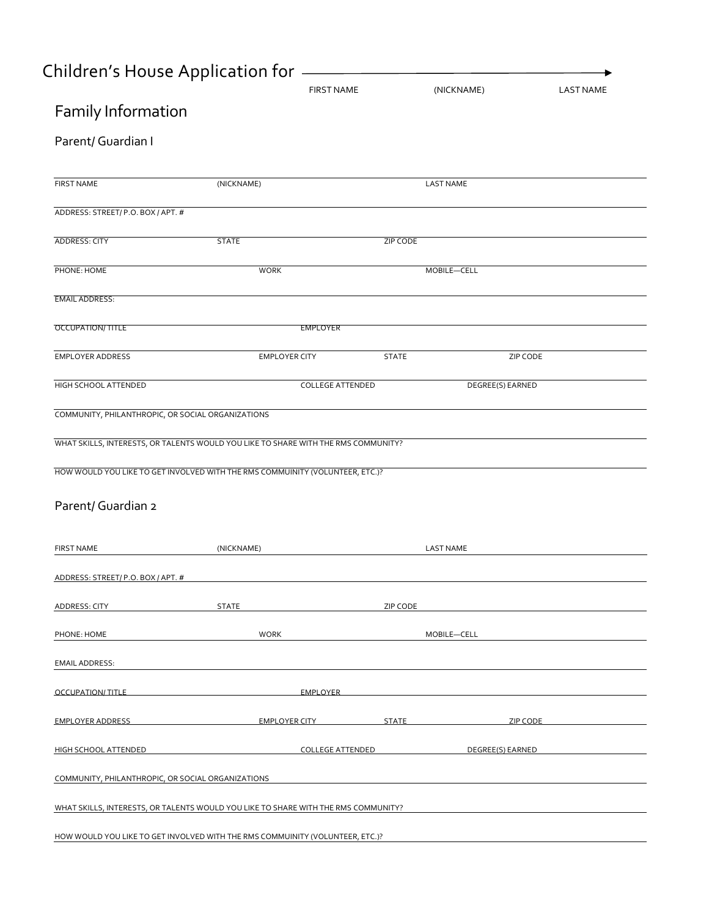# Children's House Application for

|                                                   | <b>FIRST NAME</b>                                                                  |              | (NICKNAME)       | <b>LAST NAME</b> |
|---------------------------------------------------|------------------------------------------------------------------------------------|--------------|------------------|------------------|
| Family Information                                |                                                                                    |              |                  |                  |
| Parent/ Guardian I                                |                                                                                    |              |                  |                  |
| <b>FIRST NAME</b>                                 | (NICKNAME)                                                                         |              | <b>LAST NAME</b> |                  |
| ADDRESS: STREET/P.O. BOX/APT. #                   |                                                                                    |              |                  |                  |
| <b>ADDRESS: CITY</b>                              | <b>STATE</b>                                                                       | ZIP CODE     |                  |                  |
| PHONE: HOME                                       | <b>WORK</b>                                                                        |              | MOBILE-CELL      |                  |
| <b>EMAIL ADDRESS:</b>                             |                                                                                    |              |                  |                  |
| OCCUPATION/TITLE                                  | <b>EMPLOYER</b>                                                                    |              |                  |                  |
| <b>EMPLOYER ADDRESS</b>                           | <b>EMPLOYER CITY</b>                                                               | <b>STATE</b> | ZIP CODE         |                  |
| HIGH SCHOOL ATTENDED                              | <b>COLLEGE ATTENDED</b>                                                            |              | DEGREE(S) EARNED |                  |
| COMMUNITY, PHILANTHROPIC, OR SOCIAL ORGANIZATIONS |                                                                                    |              |                  |                  |
|                                                   | WHAT SKILLS, INTERESTS, OR TALENTS WOULD YOU LIKE TO SHARE WITH THE RMS COMMUNITY? |              |                  |                  |
|                                                   | HOW WOULD YOU LIKE TO GET INVOLVED WITH THE RMS COMMUINITY (VOLUNTEER, ETC.)?      |              |                  |                  |
| Parent/ Guardian 2                                |                                                                                    |              |                  |                  |
| <b>FIRST NAME</b>                                 |                                                                                    |              |                  |                  |
|                                                   | (NICKNAME)                                                                         |              | <b>LAST NAME</b> |                  |
| ADDRESS: STREET/P.O. BOX/APT. #                   |                                                                                    |              |                  |                  |
| ADDRESS: CITY                                     | <b>STATE</b>                                                                       | ZIP CODE     |                  |                  |
| PHONE: HOME                                       | <b>WORK</b>                                                                        |              | MOBILE-CELL      |                  |
| <b>EMAIL ADDRESS:</b>                             |                                                                                    |              |                  |                  |
| OCCUPATION/TITLE                                  | <b>EMPLOYER</b>                                                                    |              |                  |                  |
| <b>EMPLOYER ADDRESS</b>                           | EMPLOYER CITY <b>EMPLOYER</b>                                                      | <b>STATE</b> | <b>ZIP CODE</b>  |                  |
| HIGH SCHOOL ATTENDED                              | <b>COLLEGE ATTENDED</b>                                                            |              | DEGREE(S) EARNED |                  |
| COMMUNITY, PHILANTHROPIC, OR SOCIAL ORGANIZATIONS |                                                                                    |              |                  |                  |
|                                                   | WHAT SKILLS, INTERESTS, OR TALENTS WOULD YOU LIKE TO SHARE WITH THE RMS COMMUNITY? |              |                  |                  |
|                                                   | HOW WOULD YOU LIKE TO GET INVOLVED WITH THE RMS COMMUINITY (VOLUNTEER, ETC.)?      |              |                  |                  |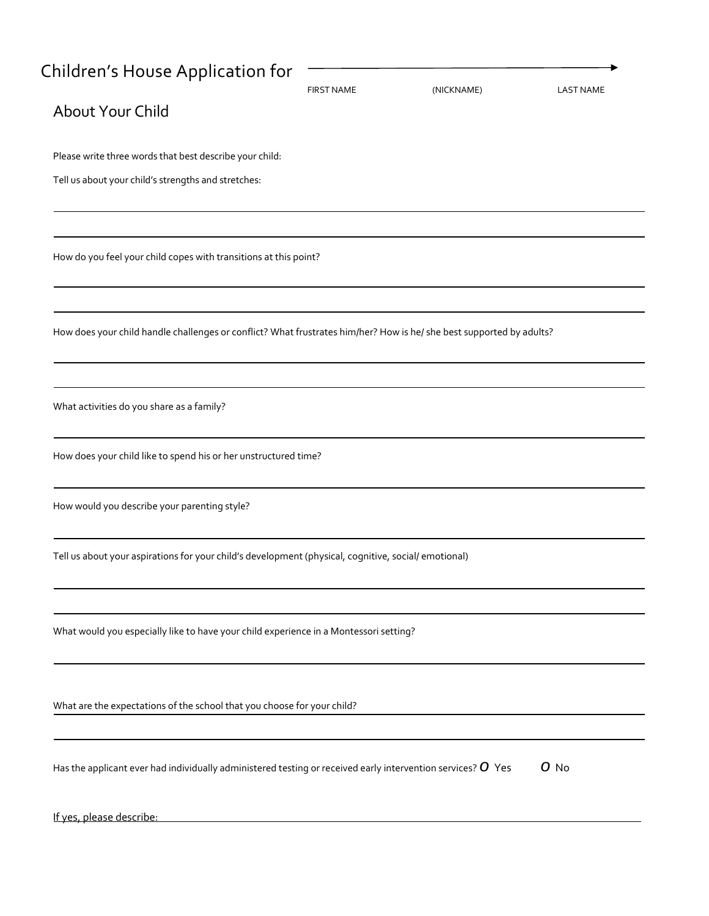| Children's House Application for                                                                                                                 | <b>FIRST NAME</b> | (NICKNAME) | <b>LAST NAME</b> |
|--------------------------------------------------------------------------------------------------------------------------------------------------|-------------------|------------|------------------|
| About Your Child                                                                                                                                 |                   |            |                  |
| Please write three words that best describe your child:                                                                                          |                   |            |                  |
| Tell us about your child's strengths and stretches:                                                                                              |                   |            |                  |
| How do you feel your child copes with transitions at this point?                                                                                 |                   |            |                  |
| How does your child handle challenges or conflict? What frustrates him/her? How is he/ she best supported by adults?                             |                   |            |                  |
| What activities do you share as a family?                                                                                                        |                   |            |                  |
| How does your child like to spend his or her unstructured time?                                                                                  |                   |            |                  |
| How would you describe your parenting style?                                                                                                     |                   |            |                  |
| Tell us about your aspirations for your child's development (physical, cognitive, social/ emotional)                                             |                   |            |                  |
| What would you especially like to have your child experience in a Montessori setting?                                                            |                   |            |                  |
| What are the expectations of the school that you choose for your child?                                                                          |                   |            |                  |
| Has the applicant ever had individually administered testing or received early intervention services? $O$ Yes                                    |                   |            | O No             |
| If yes, please describe:<br><u> 1989 - Johann John Stone, markin film yn y brenin y brenin y brenin y brenin y brenin y brenin y brenin y br</u> |                   |            |                  |